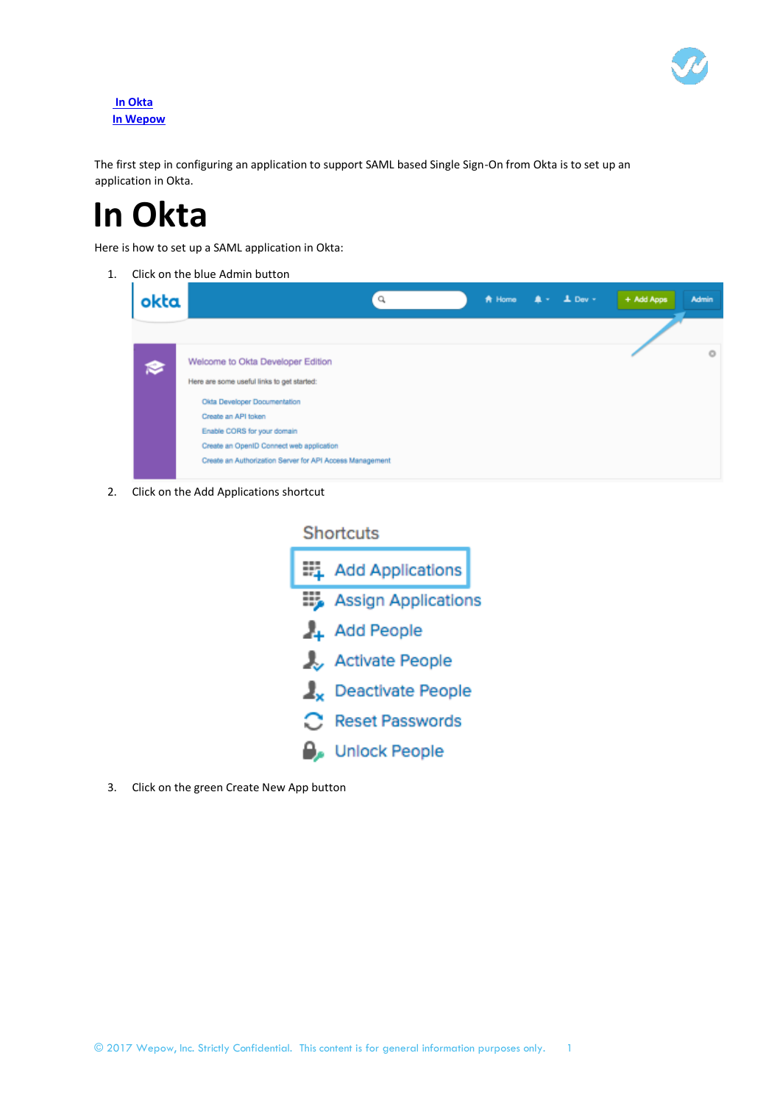

## **In Okta In Wepow**

The first step in configuring an application to support SAML based Single Sign-On from Okta is to set up an application in Okta.

# **In Okta**

Here is how to set up a SAML application in Okta:

1. Click on the blue Admin button

| $\triangle$ + $\triangle$ Dev +<br>A Home<br>Q           | + Add Apps<br><b>Admin</b> |
|----------------------------------------------------------|----------------------------|
|                                                          |                            |
| Welcome to Okta Developer Edition                        | $\circ$                    |
| Here are some useful links to get started:               |                            |
| Okta Developer Documentation                             |                            |
| Create an API token                                      |                            |
| Enable CORS for your domain                              |                            |
| Create an OpenID Connect web application                 |                            |
| Create an Authorization Server for API Access Management |                            |
|                                                          |                            |

2. Click on the Add Applications shortcut

|    | <b>Shortcuts</b>                   |
|----|------------------------------------|
|    | ■ Add Applications                 |
|    | <b>Example Assign Applications</b> |
|    | Add People                         |
|    | <b>Activate People</b>             |
| ı. | Deactivate People                  |
|    | <b>Reset Passwords</b>             |
|    | <b>Unlock People</b>               |

3. Click on the green Create New App button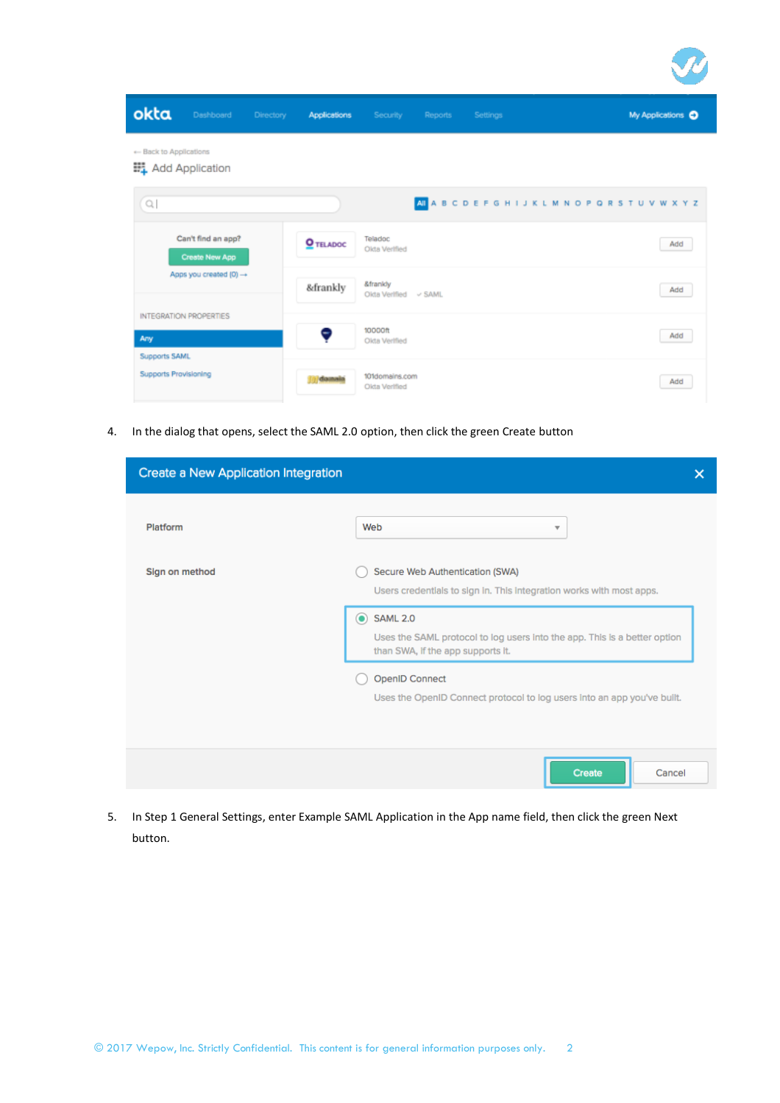| okta<br>Dashboard                             | Directory<br><b>Applications</b> | Security                             | Reports                                                | Settings |  | My Applications O |
|-----------------------------------------------|----------------------------------|--------------------------------------|--------------------------------------------------------|----------|--|-------------------|
| + Back to Applications<br>## Add Application  |                                  |                                      |                                                        |          |  |                   |
| $\hbox{\ensuremath{\mathsf{Q}}\xspace}$       |                                  |                                      | AI A B C D E F G H I J K L M N O P Q R S T U V W X Y Z |          |  |                   |
| Can't find an app?<br>Create New App          | O TELADOC                        | Teladoc<br>Okta Verified             |                                                        |          |  | Add               |
| Apps you created (0) -                        | &frankly                         | &frankly<br>Olda Verified<br><> SAML |                                                        |          |  | Add               |
| <b>INTEGRATION PROPERTIES</b><br>Any          | 0                                | 10000ft<br>Olda Verified             |                                                        |          |  | Add               |
| Supports SAML<br><b>Supports Provisioning</b> | $\alpha$ diameter                | 101domains.com<br>Olda Verified      |                                                        |          |  | Add               |

4. In the dialog that opens, select the SAML 2.0 option, then click the green Create button

| Create a New Application Integration |                                                                                                                                                | × |
|--------------------------------------|------------------------------------------------------------------------------------------------------------------------------------------------|---|
| Platform                             | Web<br>$\overline{\mathbf{v}}$                                                                                                                 |   |
| Sign on method                       | Secure Web Authentication (SWA)<br>Users credentials to sign in. This integration works with most apps.                                        |   |
|                                      | <b>SAML 2.0</b><br>$\bullet$<br>Uses the SAML protocol to log users into the app. This is a better option<br>than SWA, if the app supports it. |   |
|                                      | <b>OpenID Connect</b><br>Uses the OpenID Connect protocol to log users into an app you've built.                                               |   |
|                                      | <b>Create</b><br>Cancel                                                                                                                        |   |

5. In Step 1 General Settings, enter Example SAML Application in the App name field, then click the green Next button.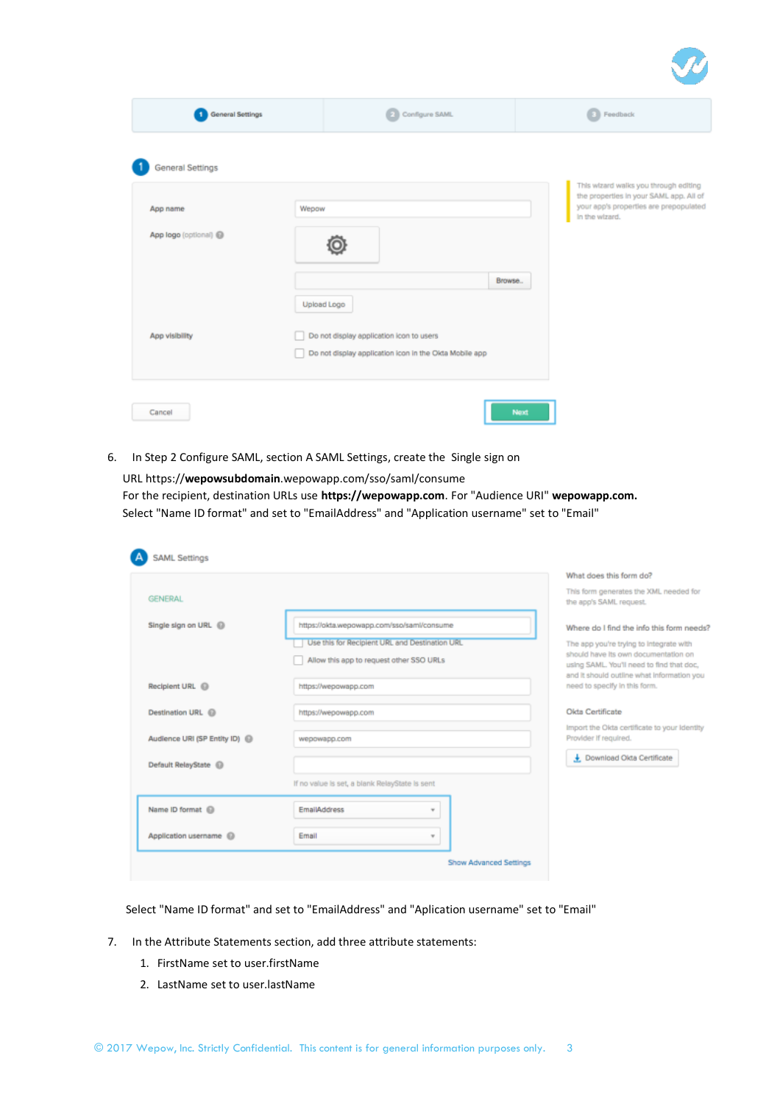| <b>General Settings</b> | Configure SAML                                         |                                                         | <b>B</b> Feedback                                                                                                                            |
|-------------------------|--------------------------------------------------------|---------------------------------------------------------|----------------------------------------------------------------------------------------------------------------------------------------------|
|                         |                                                        |                                                         |                                                                                                                                              |
| Wepow                   |                                                        |                                                         | This wizard walks you through editing<br>the properties in your SAML app. All of<br>your app's properties are prepopulated<br>In the wizard. |
|                         |                                                        |                                                         |                                                                                                                                              |
|                         |                                                        |                                                         |                                                                                                                                              |
|                         | Do not display application icon in the Okta Mobile app |                                                         |                                                                                                                                              |
|                         |                                                        | Upload Logo<br>Do not display application icon to users | Browse                                                                                                                                       |

6. In Step 2 Configure SAML, section A SAML Settings, create the Single sign on

URL https://**wepowsubdomain**.wepowapp.com/sso/saml/consume For the recipient, destination URLs use **https://wepowapp.com**. For "Audience URI" **wepowapp.com.** Select "Name ID format" and set to "EmailAddress" and "Application username" set to "Email"

|                                 |                                                | What does this form do?                                                                                                         |
|---------------------------------|------------------------------------------------|---------------------------------------------------------------------------------------------------------------------------------|
| <b>GENERAL</b>                  |                                                | This form generates the XML needed for<br>the app's SAML request.                                                               |
| Single sign on URL @            | https://okta.wepowapp.com/sso/saml/consume     | Where do I find the info this form needs?                                                                                       |
|                                 | Use this for Recipient URL and Destination URL | The app you're trying to integrate with                                                                                         |
|                                 | Allow this app to request other SSO URLs       | should have its own documentation on<br>using SAML. You'll need to find that doc.<br>and it should outline what information you |
| Recipient URL <sup>6</sup>      | https://wepowapp.com                           | need to specify in this form.                                                                                                   |
| Destination URL @               | https://wepowapp.com                           | Okta Certificate                                                                                                                |
| Audience URI (SP Entity ID) @   | wepowapp.com                                   | Import the Okta certificate to your Identity<br>Provider If required.                                                           |
| Default RelayState <sup>1</sup> |                                                | Download Okta Certificate                                                                                                       |
|                                 | If no value is set, a blank RelayState is sent |                                                                                                                                 |
| Name ID format @                | <b>EmailAddress</b><br>$\mathbf{w}$            |                                                                                                                                 |
| Application username @          | Email<br>v                                     |                                                                                                                                 |

Select "Name ID format" and set to "EmailAddress" and "Aplication username" set to "Email"

- 7. In the Attribute Statements section, add three attribute statements:
	- 1. FirstName set to user.firstName
	- 2. LastName set to user.lastName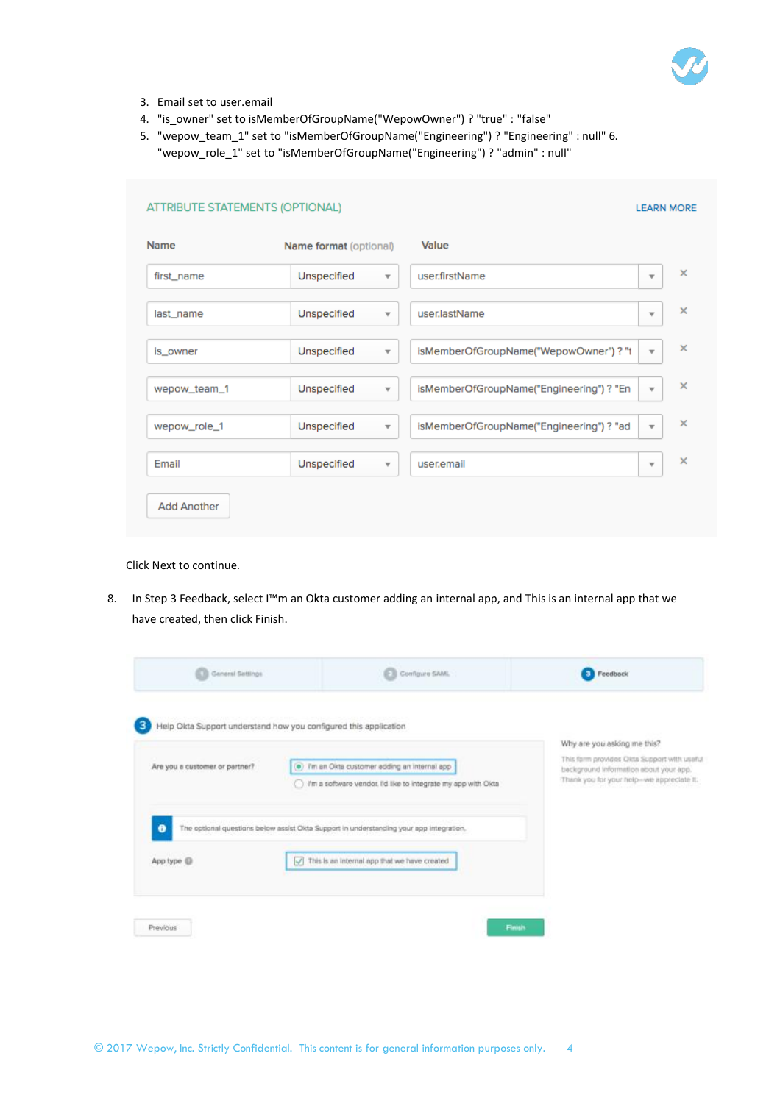

- 3. Email set to user.email
- 4. "is\_owner" set to isMemberOfGroupName("WepowOwner") ? "true" : "false"
- 5. "wepow\_team\_1" set to "isMemberOfGroupName("Engineering") ? "Engineering" : null" 6. "wepow\_role\_1" set to "isMemberOfGroupName("Engineering") ? "admin" : null"

| Name         | Name format (optional)                        | Value                                   |                                     |
|--------------|-----------------------------------------------|-----------------------------------------|-------------------------------------|
| first_name   | <b>Unspecified</b><br>$\overline{\mathbf{v}}$ | user.firstName                          | ×<br>$\overline{\mathbf{v}}$        |
| last_name    | Unspecified<br>$\overline{\mathbf{v}}$        | user.lastName                           | $\times$<br>$\overline{\mathbf{v}}$ |
| is_owner     | Unspecified<br>$\overline{\mathbf{v}}$        | isMemberOfGroupName("WepowOwner")? "t   | $\times$<br>$\overline{\mathbf{v}}$ |
| wepow_team_1 | Unspecified<br>$\overline{\mathbf{v}}$        | isMemberOfGroupName("Engineering")? "En | ×<br>$\overline{\mathbf{v}}$        |
| wepow_role_1 | Unspecified<br>$\overline{\mathbf{v}}$        | isMemberOfGroupName("Engineering")? "ad | $\times$<br>$\overline{\mathbf{v}}$ |
| Email        | Unspecified<br>$\overline{\mathbf{v}}$        | user.email                              | $\times$<br>$\overline{\mathbf{v}}$ |

# Click Next to continue.

8. In Step 3 Feedback, select I™m an Okta customer adding an internal app, and This is an internal app that we have created, then click Finish.

| General Sattings<br>œ          | Configure SAML<br>Ð                                                                                          | Feedback                                                                                                                           |
|--------------------------------|--------------------------------------------------------------------------------------------------------------|------------------------------------------------------------------------------------------------------------------------------------|
|                                | Help Okta Support understand how you configured this application                                             | Why are you asking me this?                                                                                                        |
| Are you a customer or partner? | . Tm an Okta customer adding an internal app<br>Tm a software vendor. I'd like to integrate my app with Okta | This form provides Okto Support with useful<br>background information about your app.<br>Thank you for your help-we appreciate it. |
| 0                              | The optional questions below assist Okta Support in understanding your app integration.                      |                                                                                                                                    |
| App type (                     | This is an internal app that we have created<br>$\sqrt{2}$                                                   |                                                                                                                                    |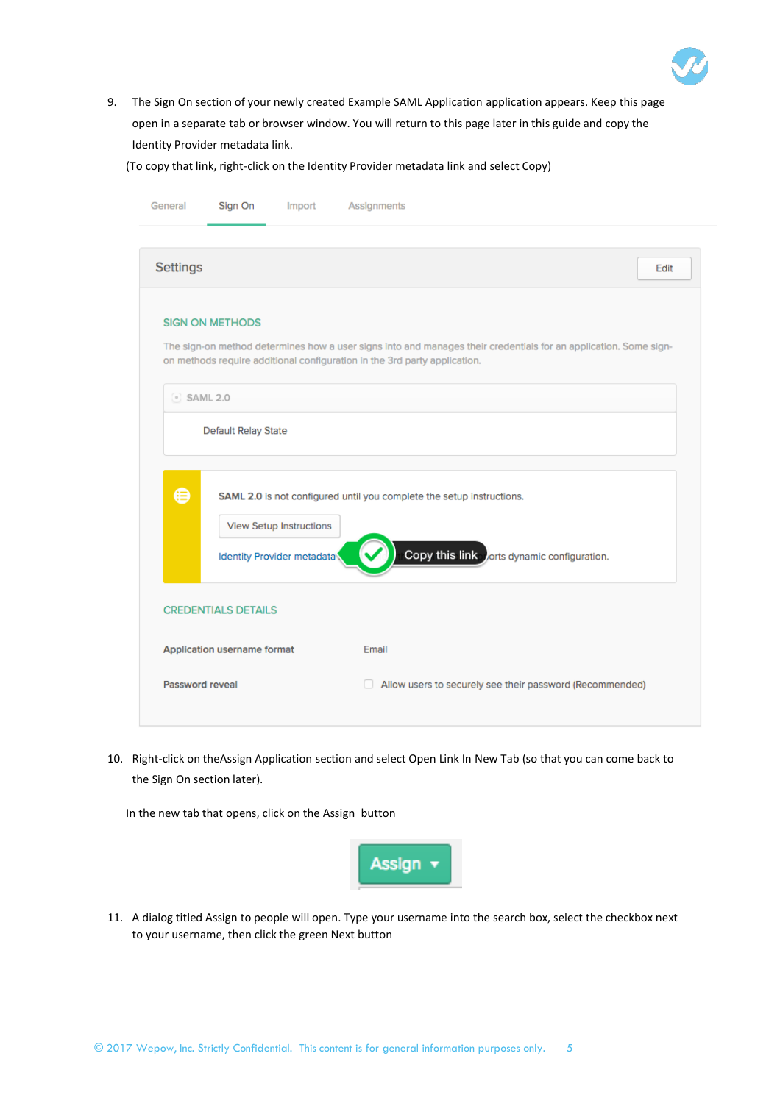

9. The Sign On section of your newly created Example SAML Application application appears. Keep this page open in a separate tab or browser window. You will return to this page later in this guide and copy the Identity Provider metadata link.

(To copy that link, right-click on the Identity Provider metadata link and select Copy)

|                  | Sign On<br>Import                                            | Assignments                                                                                                                                                                                   |      |
|------------------|--------------------------------------------------------------|-----------------------------------------------------------------------------------------------------------------------------------------------------------------------------------------------|------|
| <b>Settings</b>  |                                                              |                                                                                                                                                                                               | Edit |
|                  | <b>SIGN ON METHODS</b>                                       |                                                                                                                                                                                               |      |
|                  |                                                              | The sign-on method determines how a user signs into and manages their credentials for an application. Some sign-<br>on methods require additional configuration in the 3rd party application. |      |
| $\circ$ SAML 2.0 |                                                              |                                                                                                                                                                                               |      |
|                  | Default Relay State                                          |                                                                                                                                                                                               |      |
| ⊜                | <b>View Setup Instructions</b><br>Identity Provider metadata | SAML 2.0 is not configured until you complete the setup instructions.<br>Copy this link orts dynamic configuration.                                                                           |      |
|                  |                                                              |                                                                                                                                                                                               |      |
|                  | <b>CREDENTIALS DETAILS</b>                                   |                                                                                                                                                                                               |      |
|                  | Application username format                                  | Email                                                                                                                                                                                         |      |

10. Right-click on theAssign Application section and select Open Link In New Tab (so that you can come back to the Sign On section later).

In the new tab that opens, click on the Assign button



11. A dialog titled Assign to people will open. Type your username into the search box, select the checkbox next to your username, then click the green Next button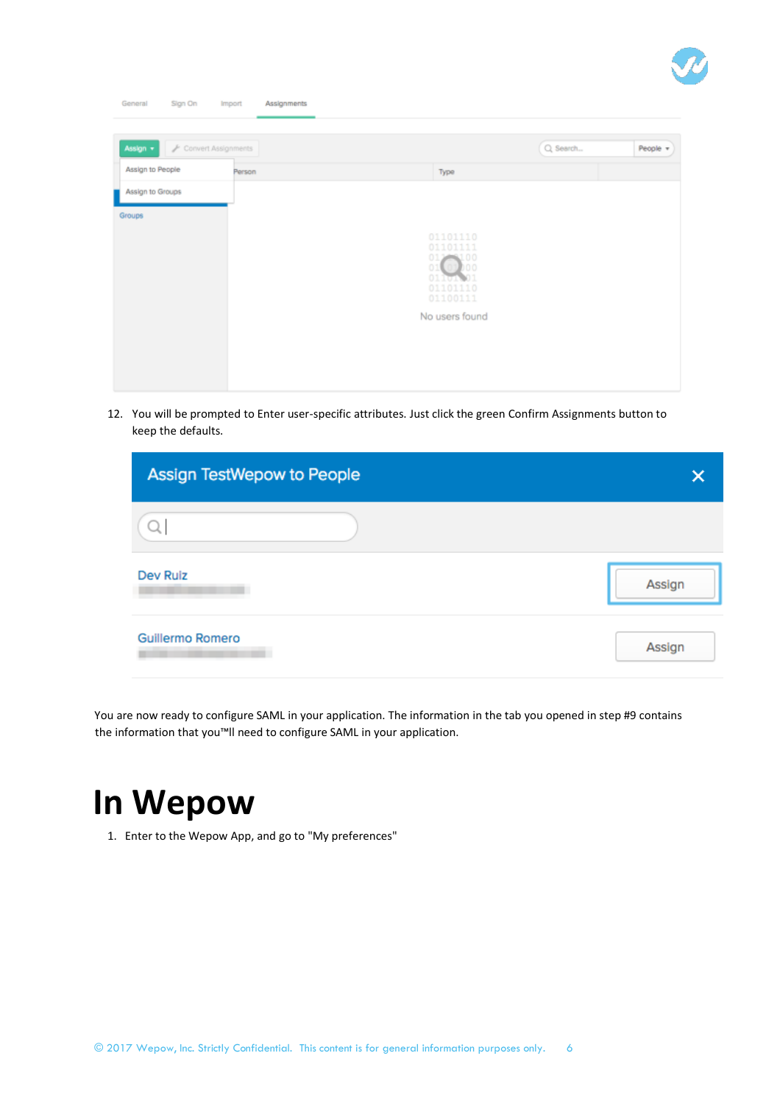

| General<br>Sign On | <b>Import</b>       | Assignments |  |                       |          |          |
|--------------------|---------------------|-------------|--|-----------------------|----------|----------|
| Assign v           | Convert Assignments |             |  |                       | Q Search | People = |
| Assign to People   | Person              |             |  | Type                  |          |          |
| Assign to Groups   |                     |             |  |                       |          |          |
| Groups             |                     |             |  |                       |          |          |
|                    |                     |             |  | 01101110<br>01101111  |          |          |
|                    |                     |             |  | 01208100<br>01 01 000 |          |          |
|                    |                     |             |  | 01101.01<br>01101110  |          |          |
|                    |                     |             |  | 01100111              |          |          |
|                    |                     |             |  | No users found        |          |          |
|                    |                     |             |  |                       |          |          |
|                    |                     |             |  |                       |          |          |
|                    |                     |             |  |                       |          |          |

12. You will be prompted to Enter user-specific attributes. Just click the green Confirm Assignments button to keep the defaults.

| Assign TestWepow to People |        |
|----------------------------|--------|
|                            |        |
| Dev Ruiz                   | Assign |
| <b>Guillermo Romero</b>    | Assign |

You are now ready to configure SAML in your application. The information in the tab you opened in step #9 contains the information that you™ll need to configure SAML in your application.

# **In Wepow**

1. Enter to the Wepow App, and go to "My preferences"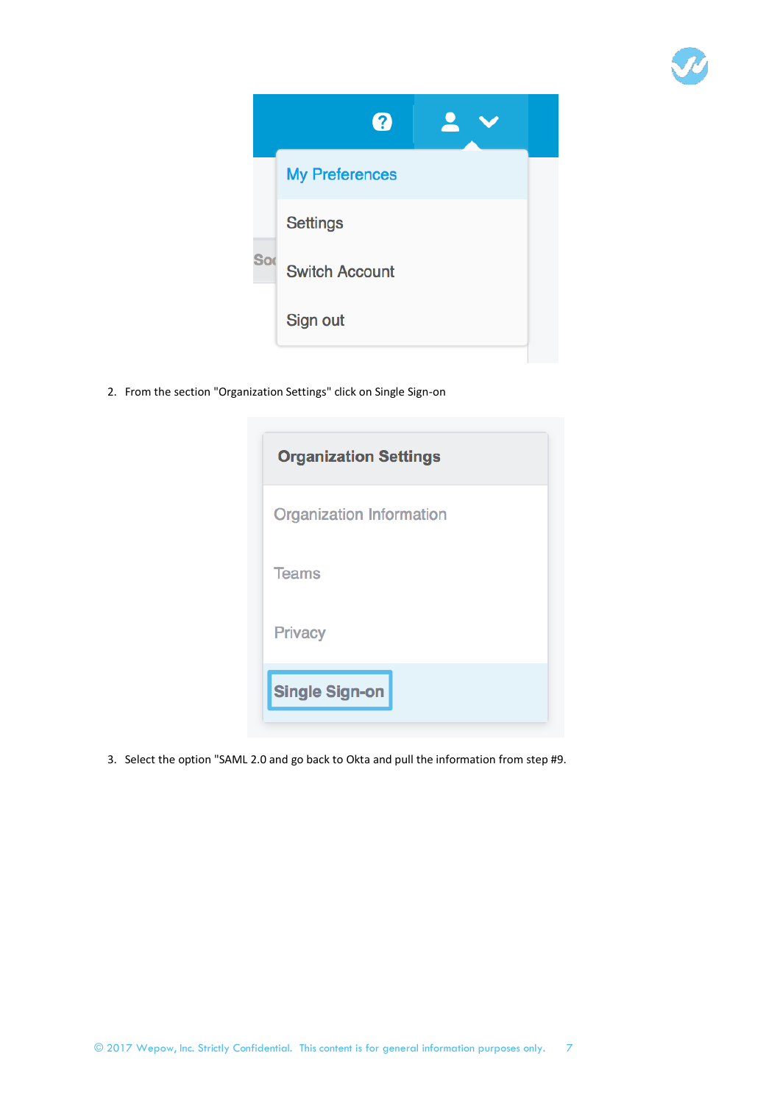

|            | 2                     |  |
|------------|-----------------------|--|
|            | <b>My Preferences</b> |  |
|            | <b>Settings</b>       |  |
| <b>Sor</b> | <b>Switch Account</b> |  |
|            | Sign out              |  |
|            |                       |  |

2. From the section "Organization Settings" click on Single Sign-on

| <b>Organization Settings</b> |
|------------------------------|
| Organization Information     |
| <b>Teams</b>                 |
| <b>Privacy</b>               |
| <b>Single Sign-on</b>        |

3. Select the option "SAML 2.0 and go back to Okta and pull the information from step #9.